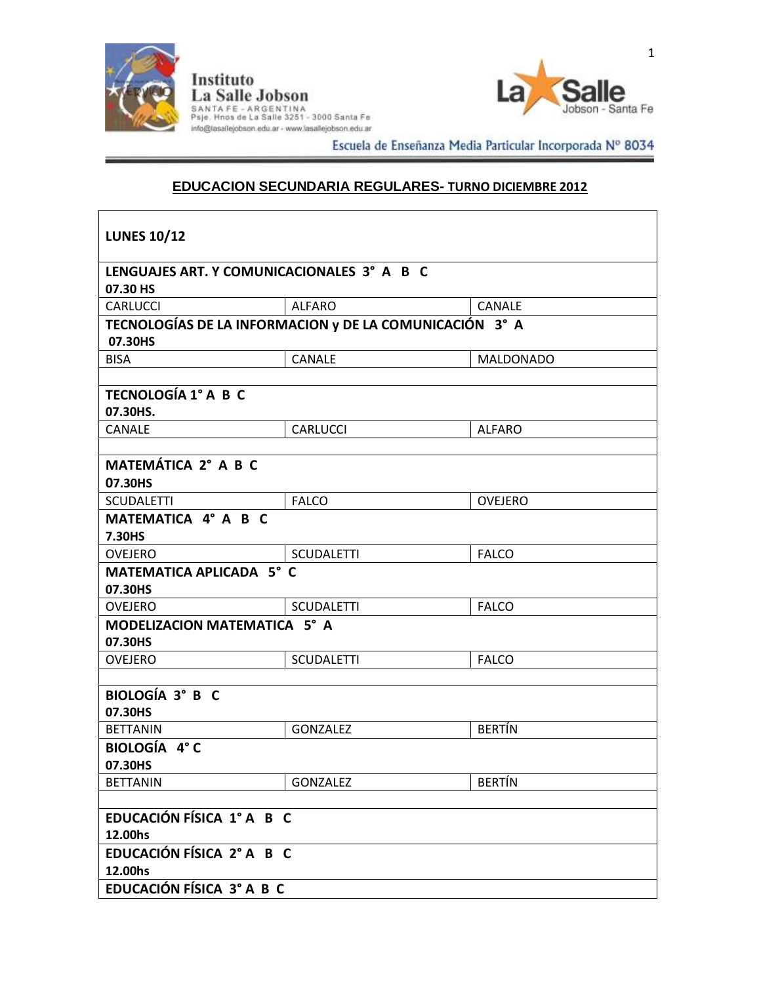

 $\mathsf{r}$ 

Instituto<br>La Salle Jobson SANTA FE - ARGENTINA<br>Psje. Hnos de La Salle 3251 - 3000 Santa Fe<br>info@lasallejobson.edu.ar - www.lasallejobson.edu.ar



Escuela de Enseñanza Media Particular Incorporada Nº 8034

# **EDUCACION SECUNDARIA REGULARES- TURNO DICIEMBRE 2012**

| <b>LUNES 10/12</b>                         |                                                         |                  |  |
|--------------------------------------------|---------------------------------------------------------|------------------|--|
| LENGUAJES ART. Y COMUNICACIONALES 3° A B C |                                                         |                  |  |
| 07.30 HS                                   |                                                         |                  |  |
| <b>CARLUCCI</b>                            | <b>ALFARO</b>                                           | <b>CANALE</b>    |  |
|                                            | TECNOLOGÍAS DE LA INFORMACION y DE LA COMUNICACIÓN 3° A |                  |  |
| 07.30HS                                    |                                                         |                  |  |
| <b>BISA</b>                                | <b>CANALE</b>                                           | <b>MALDONADO</b> |  |
|                                            |                                                         |                  |  |
| <b>TECNOLOGÍA 1° A B C</b>                 |                                                         |                  |  |
| 07.30HS.                                   |                                                         |                  |  |
| CANALE                                     | <b>CARLUCCI</b>                                         | <b>ALFARO</b>    |  |
| MATEMÁTICA 2° A B C                        |                                                         |                  |  |
| 07.30HS                                    |                                                         |                  |  |
| <b>SCUDALETTI</b>                          | <b>FALCO</b>                                            | <b>OVEJERO</b>   |  |
| MATEMATICA 4° A B C                        |                                                         |                  |  |
| 7.30HS                                     |                                                         |                  |  |
| <b>OVEJERO</b>                             | <b>SCUDALETTI</b>                                       | <b>FALCO</b>     |  |
| MATEMATICA APLICADA 5° C                   |                                                         |                  |  |
| 07.30HS                                    |                                                         |                  |  |
| OVEJERO                                    | <b>SCUDALETTI</b>                                       | <b>FALCO</b>     |  |
| MODELIZACION MATEMATICA 5° A               |                                                         |                  |  |
| 07.30HS                                    |                                                         |                  |  |
| <b>OVEJERO</b>                             | <b>SCUDALETTI</b>                                       | <b>FALCO</b>     |  |
|                                            |                                                         |                  |  |
| <b>BIOLOGÍA 3° B C</b>                     |                                                         |                  |  |
| 07.30HS                                    | <b>GONZALEZ</b>                                         | <b>BERTÍN</b>    |  |
| <b>BETTANIN</b>                            |                                                         |                  |  |
| BIOLOGÍA 4°C<br>07.30HS                    |                                                         |                  |  |
| <b>BETTANIN</b>                            | GONZALEZ                                                | <b>BERTÍN</b>    |  |
|                                            |                                                         |                  |  |
| EDUCACIÓN FÍSICA 1º A B C                  |                                                         |                  |  |
| 12.00hs                                    |                                                         |                  |  |
| EDUCACIÓN FÍSICA 2° A B C                  |                                                         |                  |  |
| 12.00hs                                    |                                                         |                  |  |
| EDUCACIÓN FÍSICA 3° A B C                  |                                                         |                  |  |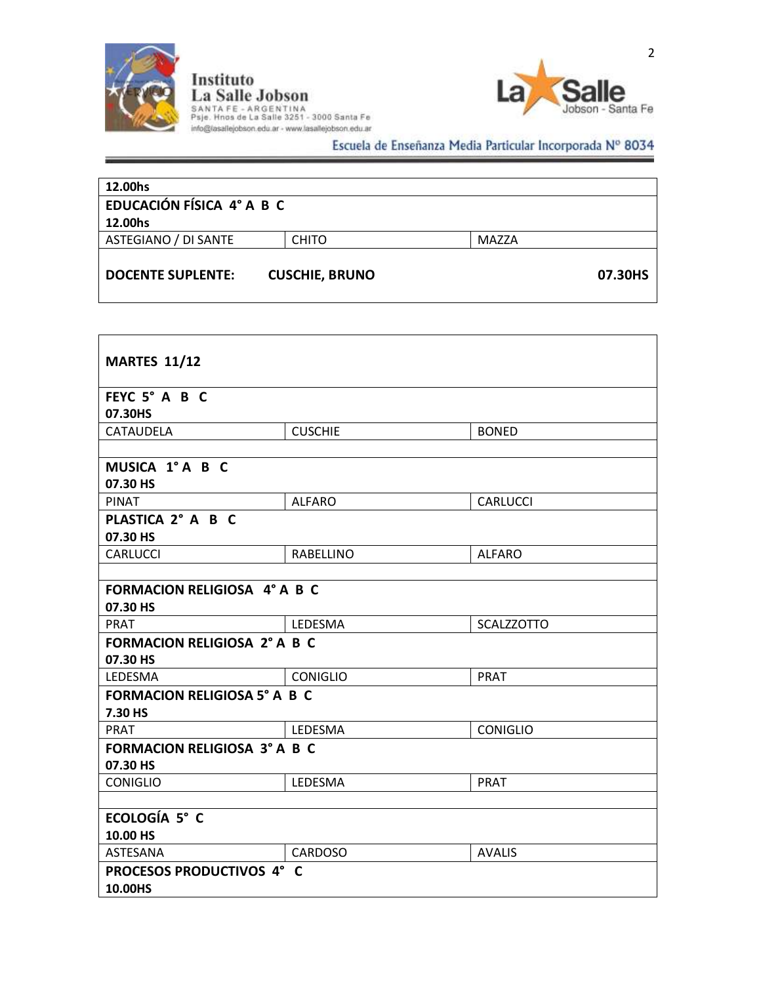

# Instituto<br>La Salle Jobson<br>SANTA FE - ARGENTINA<br>Psje. Hnos de La Salle 3251 - 3000 Santa Fe<br>info@lasallejobson.edu.ar - www.lasallejobson.edu.ar Escuela de Enseñanza Media Particular Incorporada Nº 8034

| 12.00hs<br>EDUCACIÓN FÍSICA 4° A B C |                       |       |         |
|--------------------------------------|-----------------------|-------|---------|
| 12.00hs                              |                       |       |         |
| ASTEGIANO / DI SANTE                 | <b>CHITO</b>          | MAZZA |         |
| <b>DOCENTE SUPLENTE:</b>             | <b>CUSCHIE, BRUNO</b> |       | 07.30HS |

| <b>MARTES 11/12</b>                 |                 |                   |  |
|-------------------------------------|-----------------|-------------------|--|
| FEYC 5° A B C                       |                 |                   |  |
| 07.30HS                             |                 |                   |  |
| <b>CATAUDELA</b>                    | <b>CUSCHIE</b>  | <b>BONED</b>      |  |
|                                     |                 |                   |  |
| MUSICA 1° A B C                     |                 |                   |  |
| 07.30 HS                            |                 |                   |  |
| <b>PINAT</b>                        | <b>ALFARO</b>   | <b>CARLUCCI</b>   |  |
| PLASTICA 2° A B C                   |                 |                   |  |
| 07.30 HS                            |                 |                   |  |
| <b>CARLUCCI</b>                     | RABELLINO       | <b>ALFARO</b>     |  |
|                                     |                 |                   |  |
| <b>FORMACION RELIGIOSA 4° A B C</b> |                 |                   |  |
| 07.30 HS                            |                 |                   |  |
| <b>PRAT</b>                         | LEDESMA         | <b>SCALZZOTTO</b> |  |
| <b>FORMACION RELIGIOSA 2° A B C</b> |                 |                   |  |
| 07.30 HS                            |                 |                   |  |
| <b>LEDESMA</b>                      | <b>CONIGLIO</b> | <b>PRAT</b>       |  |
| <b>FORMACION RELIGIOSA 5° A B C</b> |                 |                   |  |
| 7.30 HS                             |                 |                   |  |
| <b>PRAT</b>                         | LEDESMA         | <b>CONIGLIO</b>   |  |
| <b>FORMACION RELIGIOSA 3° A B C</b> |                 |                   |  |
| 07.30 HS                            |                 |                   |  |
| <b>CONIGLIO</b>                     | LEDESMA         | <b>PRAT</b>       |  |
|                                     |                 |                   |  |
| ECOLOGÍA 5° C                       |                 |                   |  |
| 10.00 HS                            |                 |                   |  |
| <b>ASTESANA</b>                     | <b>CARDOSO</b>  | <b>AVALIS</b>     |  |
| PROCESOS PRODUCTIVOS 4° C           |                 |                   |  |
| 10.00HS                             |                 |                   |  |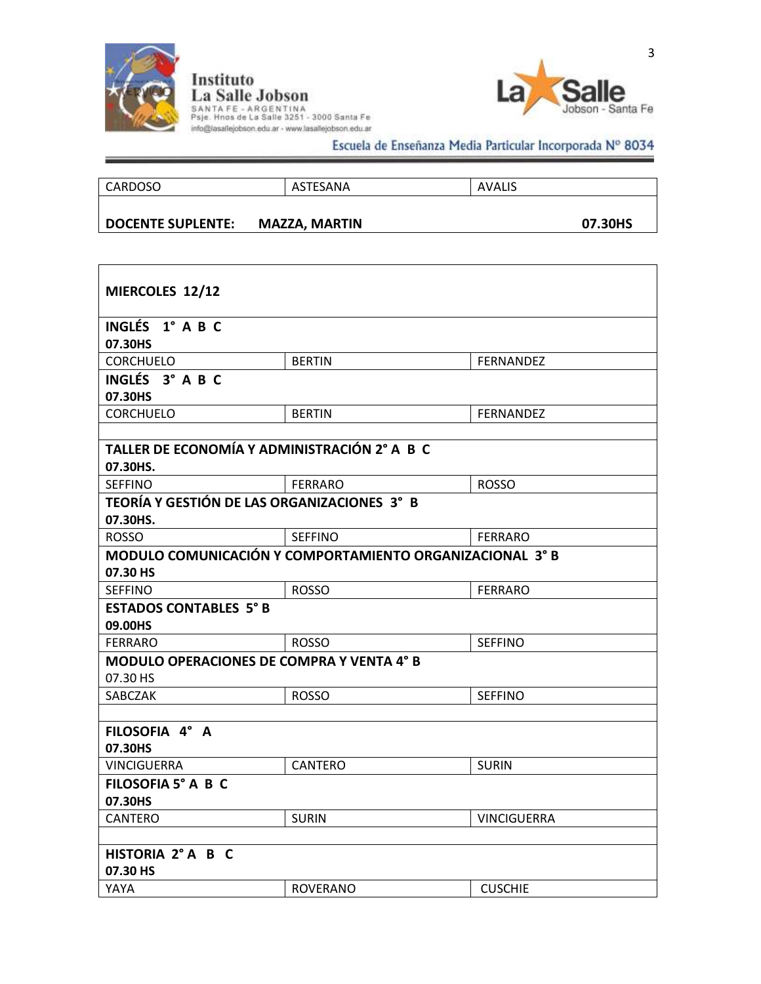

 $\mathsf{r}$ 

Instituto<br>La Salle Jobson SANTA FE - ARGENTINA<br>Psje. Hnos de La Salle 3251 - 3000 Santa Fe<br>info@lasallejobson.edu.ar - www.lasallejobson.edu.ar



Escuela de Enseñanza Media Particular Incorporada Nº 8034

| <b>DOCENTE SUPLENTE:</b> | <b>MAZZA, MARTIN</b> |               | 07.30HS |
|--------------------------|----------------------|---------------|---------|
| CARDOSO                  | ASTESANA             | <b>AVALIS</b> |         |
|                          |                      |               |         |

| MIERCOLES 12/12                                          |                                                          |                    |  |
|----------------------------------------------------------|----------------------------------------------------------|--------------------|--|
| INGLÉS 1° A B C                                          |                                                          |                    |  |
| 07.30HS                                                  |                                                          |                    |  |
| <b>CORCHUELO</b>                                         | <b>BERTIN</b>                                            | <b>FERNANDEZ</b>   |  |
| INGLÉS 3° A B C<br>07.30HS                               |                                                          |                    |  |
| <b>CORCHUELO</b>                                         | <b>BERTIN</b>                                            | <b>FERNANDEZ</b>   |  |
|                                                          |                                                          |                    |  |
| TALLER DE ECONOMÍA Y ADMINISTRACIÓN 2° A B C<br>07.30HS. |                                                          |                    |  |
| <b>SEFFINO</b>                                           | <b>FERRARO</b>                                           | <b>ROSSO</b>       |  |
| TEORÍA Y GESTIÓN DE LAS ORGANIZACIONES 3° B<br>07.30HS.  |                                                          |                    |  |
| <b>ROSSO</b>                                             | <b>SEFFINO</b>                                           | <b>FERRARO</b>     |  |
| 07.30 HS                                                 | MODULO COMUNICACIÓN Y COMPORTAMIENTO ORGANIZACIONAL 3° B |                    |  |
| <b>SEFFINO</b>                                           | <b>ROSSO</b>                                             | <b>FERRARO</b>     |  |
| <b>ESTADOS CONTABLES 5° B</b><br>09.00HS                 |                                                          |                    |  |
| <b>FERRARO</b>                                           | <b>ROSSO</b>                                             | <b>SEFFINO</b>     |  |
| MODULO OPERACIONES DE COMPRA Y VENTA 4° B<br>07.30 HS    |                                                          |                    |  |
| SABCZAK                                                  | <b>ROSSO</b>                                             | <b>SEFFINO</b>     |  |
|                                                          |                                                          |                    |  |
| FILOSOFIA 4° A                                           |                                                          |                    |  |
| 07.30HS<br>VINCIGUERRA                                   | CANTERO                                                  | <b>SURIN</b>       |  |
| FILOSOFIA 5° A B C                                       |                                                          |                    |  |
| 07.30HS                                                  |                                                          |                    |  |
| <b>CANTERO</b>                                           | <b>SURIN</b>                                             | <b>VINCIGUERRA</b> |  |
|                                                          |                                                          |                    |  |
| HISTORIA 2° A B C                                        |                                                          |                    |  |
| 07.30 HS                                                 |                                                          |                    |  |
| YAYA                                                     | <b>ROVERANO</b>                                          | <b>CUSCHIE</b>     |  |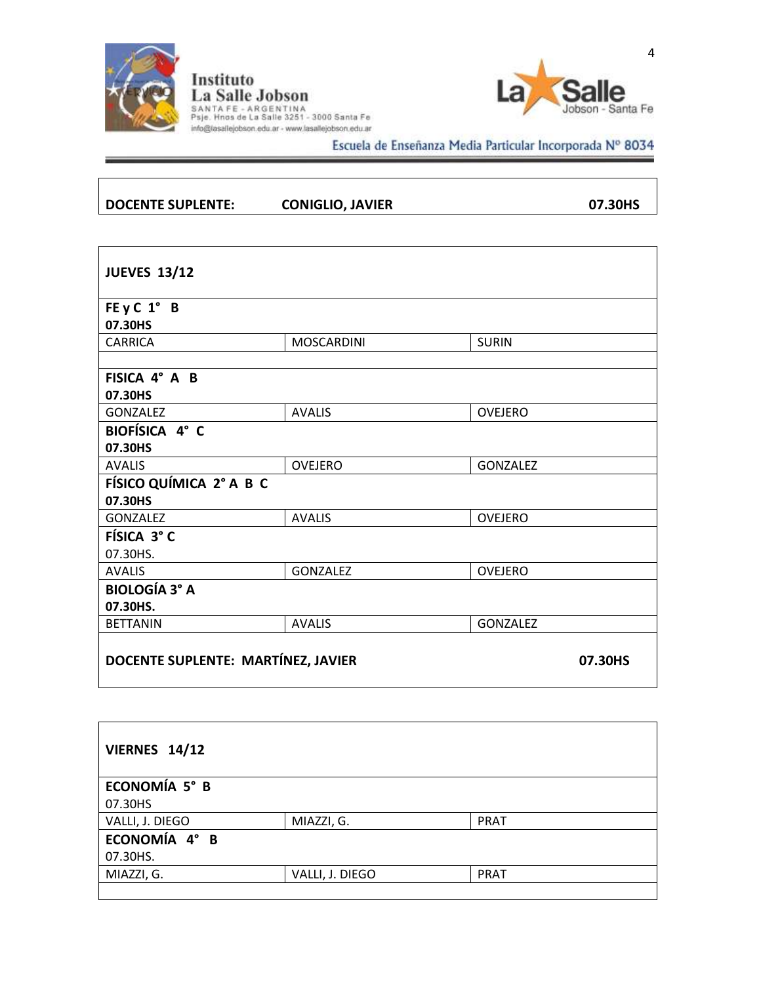

 $\overline{\phantom{a}}$ 

 $\overline{\phantom{a}}$ 

Instituto<br>La Salle Jobson SANTA FE - ARGENTINA<br>Psje. Hnos de La Salle 3251 - 3000 Santa Fe<br>info@lasallejobson.edu.ar - www.lasallejobson.edu.ar



Escuela de Enseñanza Media Particular Incorporada Nº 8034 ≐

| DOCENTE SUPLENTE: | <b>CONIGLIO, JAVIER</b> | 07.30HS |
|-------------------|-------------------------|---------|
|                   |                         |         |

| <b>JUEVES 13/12</b>                |                   |                 |
|------------------------------------|-------------------|-----------------|
| FE y C 1° B<br>07.30HS             |                   |                 |
| <b>CARRICA</b>                     | <b>MOSCARDINI</b> | <b>SURIN</b>    |
|                                    |                   |                 |
| FISICA 4° A B                      |                   |                 |
| 07.30HS                            |                   |                 |
| <b>GONZALEZ</b>                    | <b>AVALIS</b>     | <b>OVEJERO</b>  |
| BIOFÍSICA 4° C                     |                   |                 |
| 07.30HS                            |                   |                 |
| <b>AVALIS</b>                      | <b>OVEJERO</b>    | <b>GONZALEZ</b> |
| FÍSICO QUÍMICA 2° A B C            |                   |                 |
| 07.30HS                            |                   |                 |
| <b>GONZALEZ</b>                    | <b>AVALIS</b>     | <b>OVEJERO</b>  |
| FÍSICA 3° C                        |                   |                 |
| 07.30HS.                           |                   |                 |
| <b>AVALIS</b>                      | <b>GONZALEZ</b>   | <b>OVEJERO</b>  |
| <b>BIOLOGÍA 3° A</b>               |                   |                 |
| 07.30HS.                           |                   |                 |
| <b>BETTANIN</b>                    | <b>AVALIS</b>     | <b>GONZALEZ</b> |
| DOCENTE SUPLENTE: MARTÍNEZ, JAVIER |                   | 07.30HS         |

| <b>VIERNES 14/12</b> |                 |             |  |
|----------------------|-----------------|-------------|--|
| ECONOMÍA 5° B        |                 |             |  |
| 07.30HS              |                 |             |  |
| VALLI, J. DIEGO      | MIAZZI, G.      | <b>PRAT</b> |  |
| ECONOMÍA 4° B        |                 |             |  |
| 07.30HS.             |                 |             |  |
| MIAZZI, G.           | VALLI, J. DIEGO | <b>PRAT</b> |  |
|                      |                 |             |  |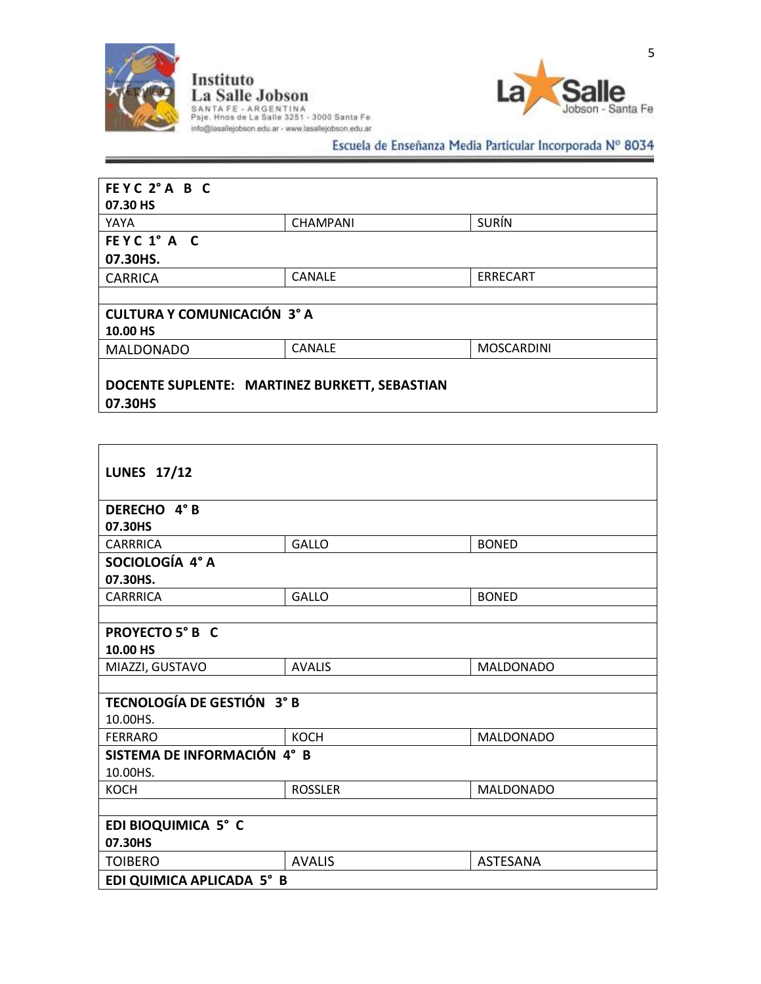



# Escuela de Enseñanza Media Particular Incorporada Nº 8034

| FEYC 2°A B C<br>07.30 HS                      |                 |                   |
|-----------------------------------------------|-----------------|-------------------|
| YAYA                                          | <b>CHAMPANI</b> | <b>SURÍN</b>      |
| FEYC 1° A C                                   |                 |                   |
| 07.30HS.                                      |                 |                   |
| <b>CARRICA</b>                                | <b>CANALE</b>   | <b>ERRECART</b>   |
|                                               |                 |                   |
| <b>CULTURA Y COMUNICACIÓN 3° A</b>            |                 |                   |
| 10.00 HS                                      |                 |                   |
| <b>MALDONADO</b>                              | <b>CANALE</b>   | <b>MOSCARDINI</b> |
| DOCENTE SUPLENTE: MARTINEZ BURKETT, SEBASTIAN |                 |                   |

**07.30HS**

Г

| <b>LUNES 17/12</b>          |                |                  |  |
|-----------------------------|----------------|------------------|--|
| DERECHO 4°B                 |                |                  |  |
| 07.30HS                     |                |                  |  |
| <b>CARRRICA</b>             | <b>GALLO</b>   | <b>BONED</b>     |  |
| SOCIOLOGÍA 4° A<br>07.30HS. |                |                  |  |
| <b>CARRRICA</b>             | <b>GALLO</b>   | <b>BONED</b>     |  |
|                             |                |                  |  |
| PROYECTO 5° B C<br>10.00 HS |                |                  |  |
| MIAZZI, GUSTAVO             | <b>AVALIS</b>  | <b>MALDONADO</b> |  |
|                             |                |                  |  |
| TECNOLOGÍA DE GESTIÓN 3° B  |                |                  |  |
| 10.00HS.                    |                |                  |  |
| <b>FERRARO</b>              | <b>KOCH</b>    | <b>MALDONADO</b> |  |
| SISTEMA DE INFORMACIÓN 4° B |                |                  |  |
| 10.00HS.                    |                |                  |  |
| <b>KOCH</b>                 | <b>ROSSLER</b> | <b>MALDONADO</b> |  |
|                             |                |                  |  |
| EDI BIOQUIMICA 5° C         |                |                  |  |
| 07.30HS                     |                |                  |  |
| <b>TOIBERO</b>              | <b>AVALIS</b>  | <b>ASTESANA</b>  |  |
| EDI QUIMICA APLICADA 5° B   |                |                  |  |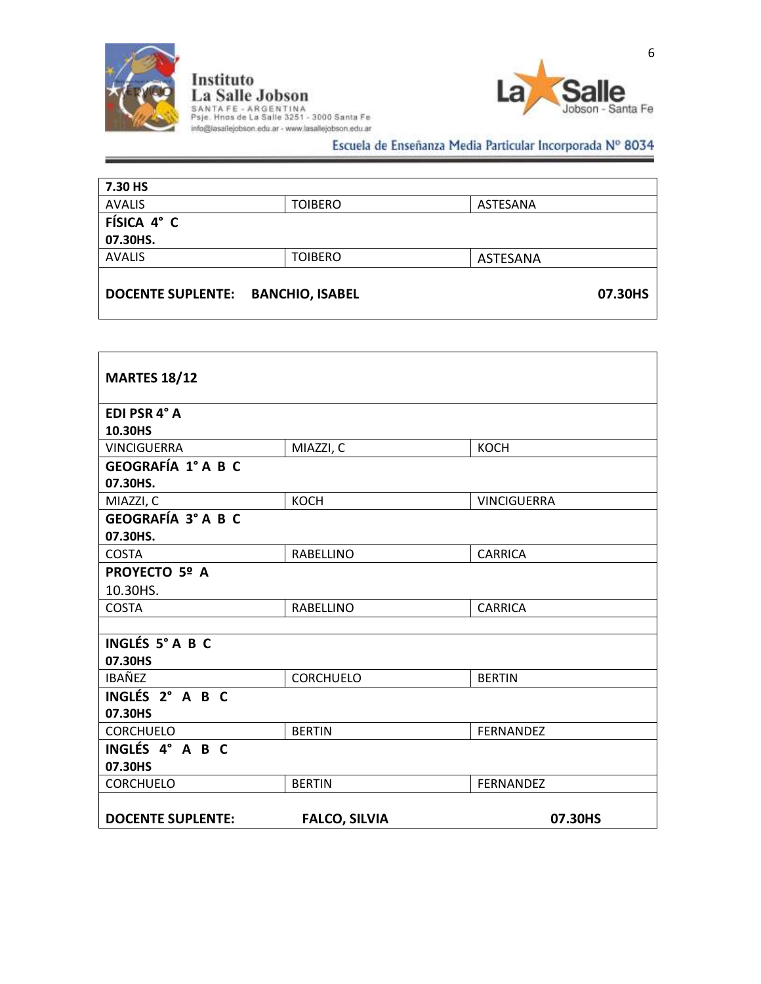



Escuela de Enseñanza Media Particular Incorporada Nº 8034

| 7.30 HS                  |                        |          |  |
|--------------------------|------------------------|----------|--|
| <b>AVALIS</b>            | <b>TOIBERO</b>         | ASTESANA |  |
| FÍSICA 4° C              |                        |          |  |
| 07.30HS.                 |                        |          |  |
| <b>AVALIS</b>            | <b>TOIBERO</b>         | ASTESANA |  |
| <b>DOCENTE SUPLENTE:</b> | <b>BANCHIO, ISABEL</b> | 07.30HS  |  |

| <b>MARTES 18/12</b>       |                      |                    |
|---------------------------|----------------------|--------------------|
| EDI PSR 4° A              |                      |                    |
| 10.30HS                   |                      |                    |
| <b>VINCIGUERRA</b>        | MIAZZI, C            | <b>KOCH</b>        |
| <b>GEOGRAFÍA 1° A B C</b> |                      |                    |
| 07.30HS.                  |                      |                    |
| MIAZZI, C                 | <b>KOCH</b>          | <b>VINCIGUERRA</b> |
| <b>GEOGRAFÍA 3° A B C</b> |                      |                    |
| 07.30HS.                  |                      |                    |
| <b>COSTA</b>              | <b>RABELLINO</b>     | <b>CARRICA</b>     |
| <b>PROYECTO 5º A</b>      |                      |                    |
| 10.30HS.                  |                      |                    |
| <b>COSTA</b>              | <b>RABELLINO</b>     | <b>CARRICA</b>     |
|                           |                      |                    |
| INGLÉS 5° A B C           |                      |                    |
| 07.30HS                   |                      |                    |
| <b>IBAÑEZ</b>             | <b>CORCHUELO</b>     | <b>BERTIN</b>      |
| INGLÉS 2° A B C           |                      |                    |
| 07.30HS                   |                      |                    |
| <b>CORCHUELO</b>          | <b>BERTIN</b>        | <b>FERNANDEZ</b>   |
| INGLÉS 4° A B C           |                      |                    |
| 07.30HS                   |                      |                    |
| <b>CORCHUELO</b>          | <b>BERTIN</b>        | <b>FERNANDEZ</b>   |
|                           |                      |                    |
| <b>DOCENTE SUPLENTE:</b>  | <b>FALCO, SILVIA</b> | 07.30HS            |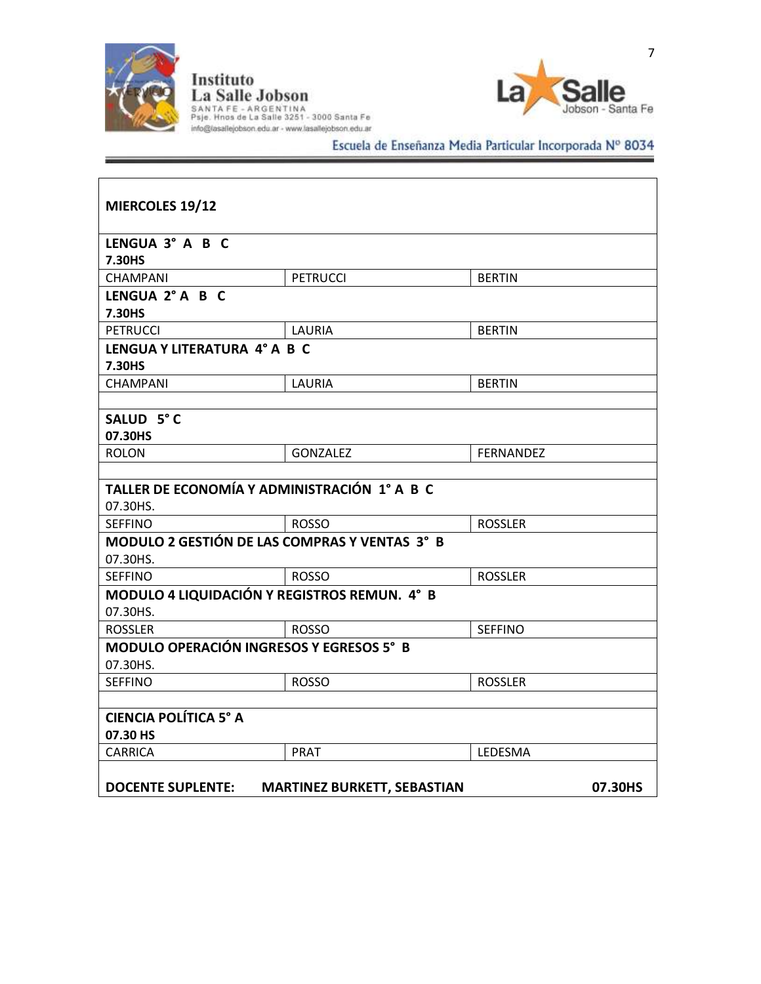



# Escuela de Enseñanza Media Particular Incorporada Nº 8034

| MIERCOLES 19/12                                                |                              |                  |  |  |
|----------------------------------------------------------------|------------------------------|------------------|--|--|
| LENGUA 3° A B C                                                |                              |                  |  |  |
| 7.30HS<br><b>CHAMPANI</b>                                      | <b>PETRUCCI</b>              | <b>BERTIN</b>    |  |  |
| LENGUA 2° A B C                                                |                              |                  |  |  |
| 7.30HS                                                         |                              |                  |  |  |
| <b>PETRUCCI</b>                                                | LAURIA                       | <b>BERTIN</b>    |  |  |
| 7.30HS                                                         | LENGUA Y LITERATURA 4° A B C |                  |  |  |
| CHAMPANI                                                       | LAURIA                       | <b>BERTIN</b>    |  |  |
| SALUD 5°C<br>07.30HS                                           |                              |                  |  |  |
| <b>ROLON</b>                                                   | <b>GONZALEZ</b>              | <b>FERNANDEZ</b> |  |  |
|                                                                |                              |                  |  |  |
| TALLER DE ECONOMÍA Y ADMINISTRACIÓN 1° A B C                   |                              |                  |  |  |
| 07.30HS.                                                       |                              |                  |  |  |
| <b>SEFFINO</b>                                                 | <b>ROSSO</b>                 | <b>ROSSLER</b>   |  |  |
| MODULO 2 GESTIÓN DE LAS COMPRAS Y VENTAS 3° B<br>07.30HS.      |                              |                  |  |  |
| <b>SEFFINO</b>                                                 | <b>ROSSO</b>                 | <b>ROSSLER</b>   |  |  |
| MODULO 4 LIQUIDACIÓN Y REGISTROS REMUN. 4° B<br>07.30HS.       |                              |                  |  |  |
| <b>ROSSLER</b>                                                 | <b>ROSSO</b>                 | <b>SEFFINO</b>   |  |  |
| <b>MODULO OPERACIÓN INGRESOS Y EGRESOS 5° B</b><br>07.30HS.    |                              |                  |  |  |
| <b>SEFFINO</b>                                                 | <b>ROSSO</b>                 | <b>ROSSLER</b>   |  |  |
|                                                                |                              |                  |  |  |
| <b>CIENCIA POLÍTICA 5° A</b><br>07.30 HS                       |                              |                  |  |  |
| <b>CARRICA</b>                                                 | <b>PRAT</b>                  | LEDESMA          |  |  |
| <b>DOCENTE SUPLENTE:</b><br><b>MARTINEZ BURKETT, SEBASTIAN</b> |                              |                  |  |  |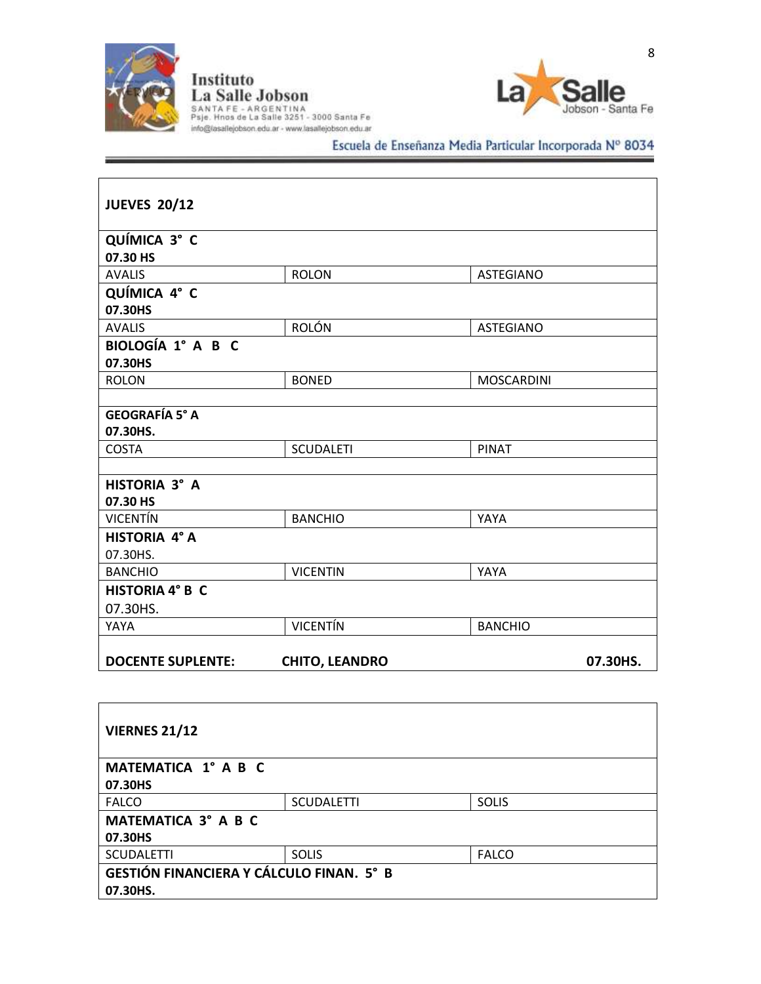



# Escuela de Enseñanza Media Particular Incorporada Nº 8034

| <b>JUEVES 20/12</b>      |                       |                   |
|--------------------------|-----------------------|-------------------|
| QUÍMICA 3° C             |                       |                   |
| 07.30 HS                 |                       |                   |
| <b>AVALIS</b>            | <b>ROLON</b>          | <b>ASTEGIANO</b>  |
| QUÍMICA 4° C             |                       |                   |
| 07.30HS                  |                       |                   |
| <b>AVALIS</b>            | <b>ROLÓN</b>          | <b>ASTEGIANO</b>  |
| BIOLOGÍA 1° A B C        |                       |                   |
| 07.30HS                  |                       |                   |
| <b>ROLON</b>             | <b>BONED</b>          | <b>MOSCARDINI</b> |
|                          |                       |                   |
| <b>GEOGRAFÍA 5° A</b>    |                       |                   |
| 07.30HS.                 |                       |                   |
| <b>COSTA</b>             | <b>SCUDALETI</b>      | <b>PINAT</b>      |
|                          |                       |                   |
| HISTORIA 3° A            |                       |                   |
| 07.30 HS                 |                       |                   |
| <b>VICENTÍN</b>          | <b>BANCHIO</b>        | YAYA              |
| HISTORIA 4° A            |                       |                   |
| 07.30HS.                 |                       |                   |
| <b>BANCHIO</b>           | <b>VICENTIN</b>       | YAYA              |
| <b>HISTORIA 4° B C</b>   |                       |                   |
| 07.30HS.                 |                       |                   |
| YAYA                     | <b>VICENTÍN</b>       | <b>BANCHIO</b>    |
|                          |                       |                   |
| <b>DOCENTE SUPLENTE:</b> | <b>CHITO, LEANDRO</b> | 07.30HS.          |

| <b>VIERNES 21/12</b>                            |                   |              |  |
|-------------------------------------------------|-------------------|--------------|--|
| MATEMATICA 1° A B C                             |                   |              |  |
| 07.30HS                                         |                   |              |  |
| <b>FALCO</b>                                    | <b>SCUDALETTI</b> | <b>SOLIS</b> |  |
| MATEMATICA 3° A B C                             |                   |              |  |
| 07.30HS                                         |                   |              |  |
| <b>SCUDALETTI</b>                               | <b>SOLIS</b>      | <b>FALCO</b> |  |
| <b>GESTIÓN FINANCIERA Y CÁLCULO FINAN. 5° B</b> |                   |              |  |
| 07.30HS.                                        |                   |              |  |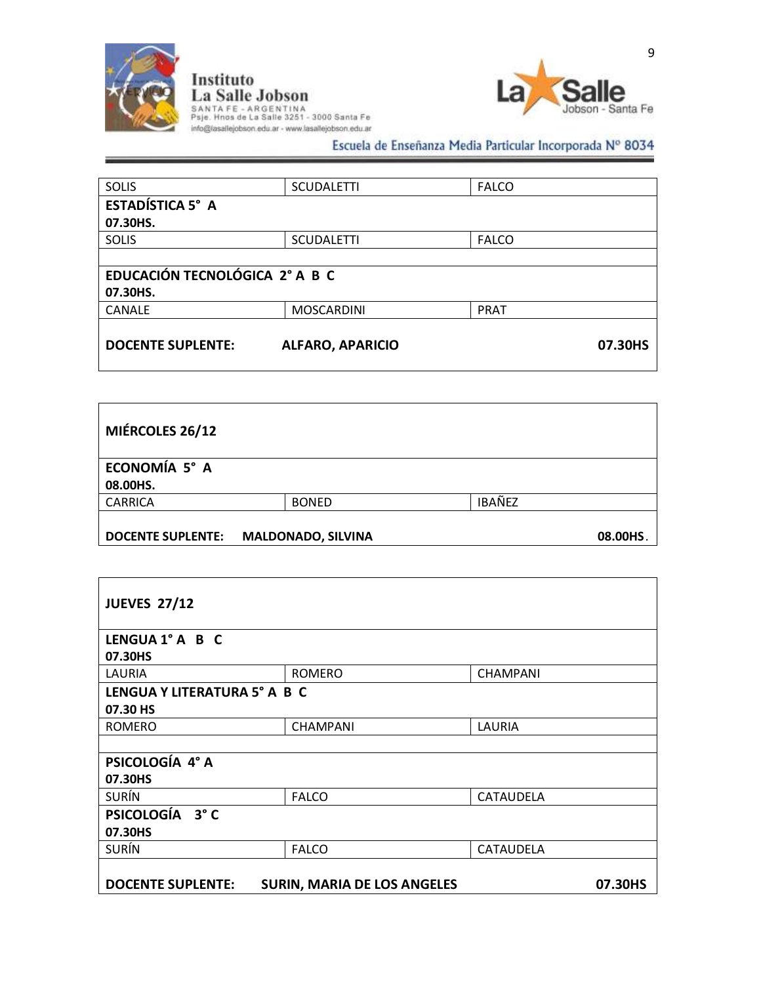



Escuela de Enseñanza Media Particular Incorporada Nº 8034

| <b>SCUDALETTI</b>              | <b>FALCO</b> |  |  |
|--------------------------------|--------------|--|--|
|                                |              |  |  |
|                                |              |  |  |
| <b>SCUDALETTI</b>              | <b>FALCO</b> |  |  |
|                                |              |  |  |
| EDUCACIÓN TECNOLÓGICA 2° A B C |              |  |  |
|                                |              |  |  |
| <b>MOSCARDINI</b>              | <b>PRAT</b>  |  |  |
|                                |              |  |  |
| <b>ALFARO, APARICIO</b>        | 07.30HS      |  |  |
|                                |              |  |  |

| MIÉRCOLES 26/12          |                           |               |          |
|--------------------------|---------------------------|---------------|----------|
| ECONOMÍA 5° A            |                           |               |          |
| 08.00HS.                 |                           |               |          |
| <b>CARRICA</b>           | <b>BONED</b>              | <b>IBAÑEZ</b> |          |
| <b>DOCENTE SUPLENTE:</b> | <b>MALDONADO, SILVINA</b> |               | 08.00HS. |

| <b>JUEVES 27/12</b>      |                                    |                  |  |  |
|--------------------------|------------------------------------|------------------|--|--|
| LENGUA 1° A B C          |                                    |                  |  |  |
| 07.30HS                  |                                    |                  |  |  |
| LAURIA                   | <b>ROMERO</b>                      | <b>CHAMPANI</b>  |  |  |
|                          | LENGUA Y LITERATURA 5° A B C       |                  |  |  |
| 07.30 HS                 |                                    |                  |  |  |
| <b>ROMERO</b>            | <b>CHAMPANI</b>                    | LAURIA           |  |  |
|                          |                                    |                  |  |  |
| PSICOLOGÍA 4° A          |                                    |                  |  |  |
| 07.30HS                  |                                    |                  |  |  |
| <b>SURÍN</b>             | <b>FALCO</b>                       | <b>CATAUDELA</b> |  |  |
| PSICOLOGÍA 3°C           |                                    |                  |  |  |
| 07.30HS                  |                                    |                  |  |  |
| <b>SURÍN</b>             | <b>FALCO</b>                       | <b>CATAUDELA</b> |  |  |
|                          |                                    |                  |  |  |
| <b>DOCENTE SUPLENTE:</b> | <b>SURIN, MARIA DE LOS ANGELES</b> | 07.30HS          |  |  |